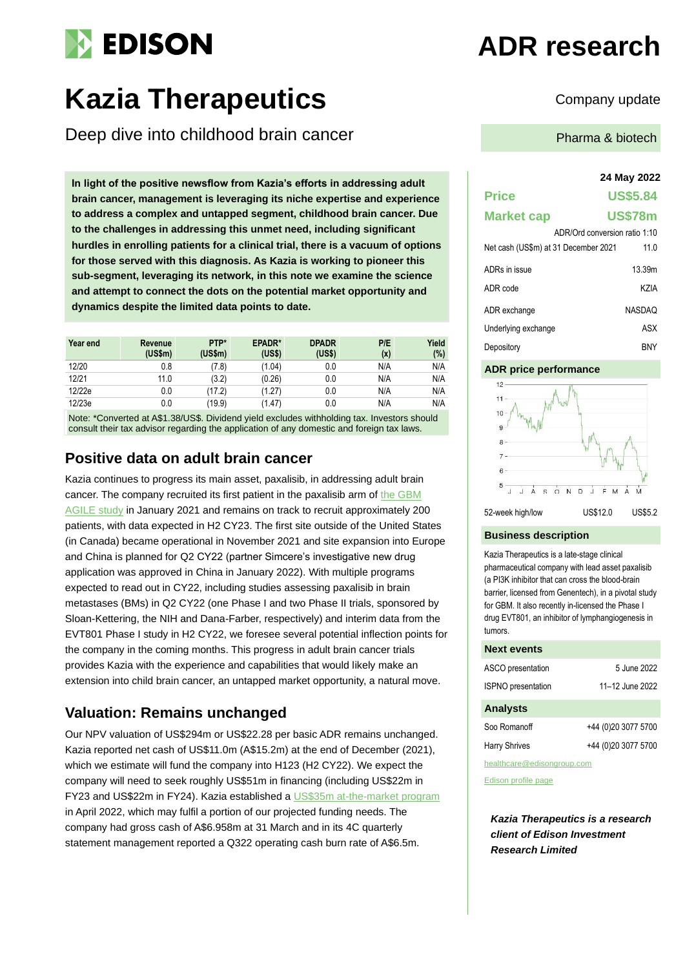# **EDISON**

# Kazia Therapeutics **Company update**

Deep dive into childhood brain cancer

**In light of the positive newsflow from Kazia's efforts in addressing adult brain cancer, management is leveraging its niche expertise and experience to address a complex and untapped segment, childhood brain cancer. Due to the challenges in addressing this unmet need, including significant hurdles in enrolling patients for a clinical trial, there is a vacuum of options for those served with this diagnosis. As Kazia is working to pioneer this sub-segment, leveraging its network, in this note we examine the science and attempt to connect the dots on the potential market opportunity and dynamics despite the limited data points to date.** 

| Year end | Revenue<br>(US\$m) | PTP*<br>$(US\$ fm $)$ | EPADR*<br>(US\$) | <b>DPADR</b><br>(US\$) | P/E<br>(x) | Yield<br>(%) |
|----------|--------------------|-----------------------|------------------|------------------------|------------|--------------|
| 12/20    | 0.8                | (7.8)                 | (1.04)           | 0.0                    | N/A        | N/A          |
| 12/21    | 11.0               | (3.2)                 | (0.26)           | 0.0                    | N/A        | N/A          |
| 12/22e   | 0.0                | (17.2)                | (1.27)           | 0.0                    | N/A        | N/A          |
| 12/23e   | 0.0                | (19.9)                | (1.47)           | 0.0                    | N/A        | N/A          |

Note: \*Converted at A\$1.38/US\$. Dividend yield excludes withholding tax. Investors should consult their tax advisor regarding the application of any domestic and foreign tax laws.

## **Positive data on adult brain cancer**

Kazia continues to progress its main asset, paxalisib, in addressing adult brain cancer. The company recruited its first patient in the paxalisib arm of the GBM [AGILE study](https://clinicaltrials.gov/ct2/show/NCT03970447) in January 2021 and remains on track to recruit approximately 200 patients, with data expected in H2 CY23. The first site outside of the United States (in Canada) became operational in November 2021 and site expansion into Europe and China is planned for Q2 CY22 (partner Simcere's investigative new drug application was approved in China in January 2022). With multiple programs expected to read out in CY22, including studies assessing paxalisib in brain metastases (BMs) in Q2 CY22 (one Phase I and two Phase II trials, sponsored by Sloan-Kettering, the NIH and Dana-Farber, respectively) and interim data from the EVT801 Phase I study in H2 CY22, we foresee several potential inflection points for the company in the coming months. This progress in adult brain cancer trials provides Kazia with the experience and capabilities that would likely make an extension into child brain cancer, an untapped market opportunity, a natural move.

# **Valuation: Remains unchanged**

Our NPV valuation of US\$294m or US\$22.28 per basic ADR remains unchanged. Kazia reported net cash of US\$11.0m (A\$15.2m) at the end of December (2021), which we estimate will fund the company into H123 (H2 CY22). We expect the company will need to seek roughly US\$51m in financing (including US\$22m in FY23 and US\$22m in FY24). Kazia established a [US\\$35m at-the-market](https://cdn-api.markitdigital.com/apiman-gateway/ASX/asx-research/1.0/file/2924-02513029-2A1369999?access_token=83ff96335c2d45a094df02a206a39ff4) program in April 2022, which may fulfil a portion of our projected funding needs. The company had gross cash of A\$6.958m at 31 March and in its 4C quarterly statement management reported a Q322 operating cash burn rate of A\$6.5m.

# **ADR research**

Pharma & biotech

#### **24 May 2022**

# **Price US\$5.84 Market cap US\$78m** ADR/Ord conversion ratio 1:10 Net cash (US\$m) at 31 December 2021 11.0 ADRs in issue 13.39m ADR code KZIA ADR exchange NASDAQ Underlying exchange **ASX**

Depository BNY

#### **ADR price performance**



52-week high/low US\$12.0 US\$5.2

#### **Business description**

Kazia Therapeutics is a late-stage clinical pharmaceutical company with lead asset paxalisib (a PI3K inhibitor that can cross the blood-brain barrier, licensed from Genentech), in a pivotal study for GBM. It also recently in-licensed the Phase I drug EVT801, an inhibitor of lymphangiogenesis in tumors.

#### **Next events**

| ASCO presentation          | 5 June 2022         |  |  |
|----------------------------|---------------------|--|--|
| <b>ISPNO</b> presentation  | 11-12 June 2022     |  |  |
| <b>Analysts</b>            |                     |  |  |
| Soo Romanoff               | +44 (0)20 3077 5700 |  |  |
| <b>Harry Shrives</b>       | +44 (0)20 3077 5700 |  |  |
| healthcare@edisongroup.com |                     |  |  |

[Edison profile page](https://www.edisongroup.com/company/kazia-therapeutics/)

*Kazia Therapeutics is a research client of Edison Investment Research Limited*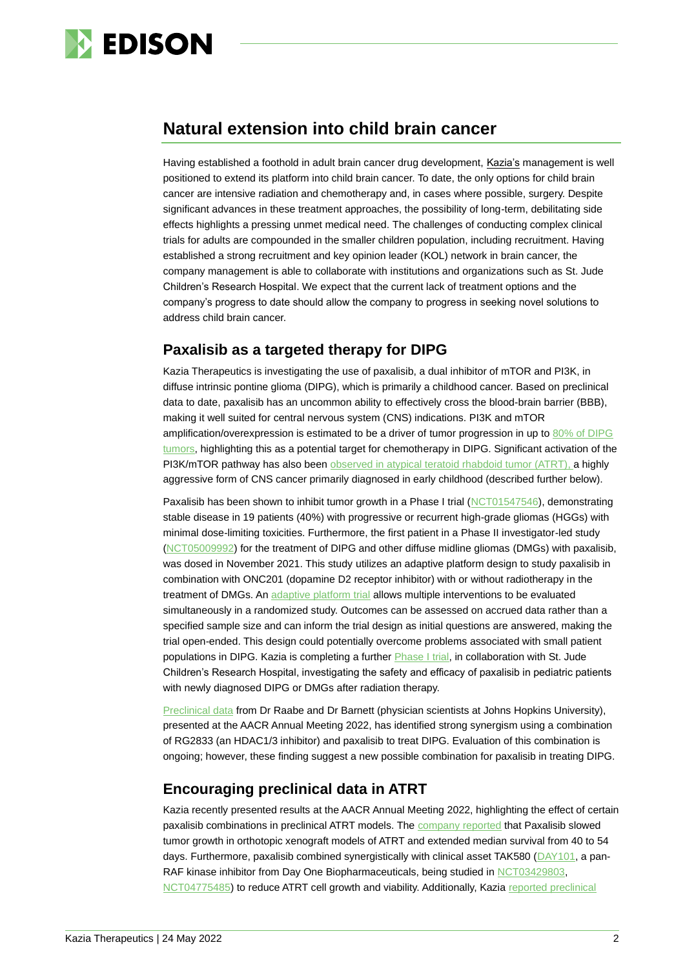

# **Natural extension into child brain cancer**

Having established a foothold in adult brain cancer drug development, Kazia's management is well positioned to extend its platform into child brain cancer. To date, the only options for child brain cancer are intensive radiation and chemotherapy and, in cases where possible, surgery. Despite significant advances in these treatment approaches, the possibility of long-term, debilitating side effects highlights a pressing unmet medical need. The challenges of conducting complex clinical trials for adults are compounded in the smaller children population, including recruitment. Having established a strong recruitment and key opinion leader (KOL) network in brain cancer, the company management is able to collaborate with institutions and organizations such as St. Jude Children's Research Hospital. We expect that the current lack of treatment options and the company's progress to date should allow the company to progress in seeking novel solutions to address child brain cancer.

## **Paxalisib as a targeted therapy for DIPG**

Kazia Therapeutics is investigating the use of paxalisib, a dual inhibitor of mTOR and PI3K, in diffuse intrinsic pontine glioma (DIPG), which is primarily a childhood cancer. Based on preclinical data to date, paxalisib has an uncommon ability to effectively cross the blood-brain barrier (BBB), making it well suited for central nervous system (CNS) indications. PI3K and mTOR amplification/overexpression is estimated to be a driver of tumor progression in up to [80% of DIPG](https://www.ncbi.nlm.nih.gov/pmc/articles/PMC7212917/)  [tumors,](https://www.ncbi.nlm.nih.gov/pmc/articles/PMC7212917/) highlighting this as a potential target for chemotherapy in DIPG. Significant activation of the PI3K/mTOR pathway has also been [observed in atypical teratoid rhabdoid tumor \(ATRT\),](https://academic.oup.com/neuro-oncology/article/19/10/1361/3861131) a highly aggressive form of CNS cancer primarily diagnosed in early childhood (described further below).

Paxalisib has been shown to inhibit tumor growth in a Phase I trial [\(NCT01547546\)](https://clinicaltrials.gov/ct2/show/NCT01547546), demonstrating stable disease in 19 patients (40%) with progressive or recurrent high-grade gliomas (HGGs) with minimal dose-limiting toxicities. Furthermore, the first patient in a Phase II investigator-led study [\(NCT05009992\)](https://clinicaltrials.gov/ct2/show/NCT05009992) for the treatment of DIPG and other diffuse midline gliomas (DMGs) with paxalisib, was dosed in November 2021. This study utilizes an adaptive platform design to study paxalisib in combination with ONC201 (dopamine D2 receptor inhibitor) with or without radiotherapy in the treatment of DMGs. An [adaptive platform trial](https://www.remapcap.org/what-is-an-adaptive-trial) allows multiple interventions to be evaluated simultaneously in a randomized study. Outcomes can be assessed on accrued data rather than a specified sample size and can inform the trial design as initial questions are answered, making the trial open-ended. This design could potentially overcome problems associated with small patient populations in DIPG. Kazia is completing a further **Phase I trial**, in collaboration with St. Jude Children's Research Hospital, investigating the safety and efficacy of paxalisib in pediatric patients with newly diagnosed DIPG or DMGs after radiation therapy.

[Preclinical data](https://www.abstractsonline.com/pp8/#!/10517/presentation/12932) from Dr Raabe and Dr Barnett (physician scientists at Johns Hopkins University), presented at the AACR Annual Meeting 2022, has identified strong synergism using a combination of RG2833 (an HDAC1/3 inhibitor) and paxalisib to treat DIPG. Evaluation of this combination is ongoing; however, these finding suggest a new possible combination for paxalisib in treating DIPG.

## **Encouraging preclinical data in ATRT**

Kazia recently presented results at the AACR Annual Meeting 2022, highlighting the effect of certain paxalisib combinations in preclinical ATRT models. The [company reported](https://www.abstractsonline.com/pp8/#!/10517/presentation/18462) that Paxalisib slowed tumor growth in orthotopic xenograft models of ATRT and extended median survival from 40 to 54 days. Furthermore, paxalisib combined synergistically with clinical asset TAK580 [\(DAY101,](https://dayonebio.com/day101/) a pan-RAF kinase inhibitor from Day One Biopharmaceuticals, being studied in NCT03429803. [NCT04775485\)](https://clinicaltrials.gov/ct2/show/NCT04775485) to reduce ATRT cell growth and viability. Additionally, Kazia [reported preclinical](https://www.abstractsonline.com/pp8/#!/10517/presentation/18461)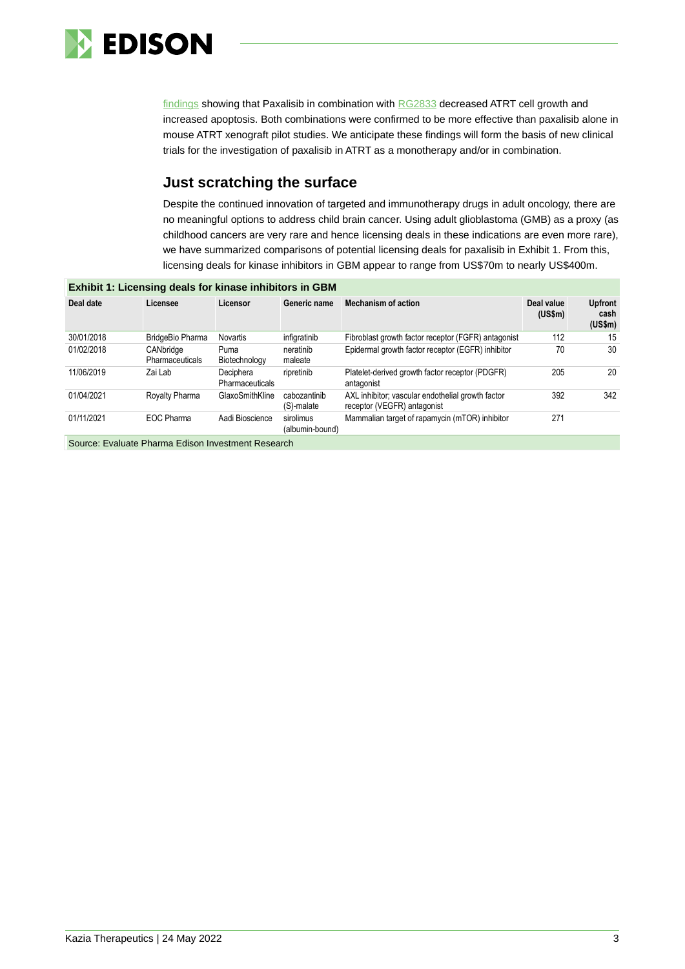

[findings](https://www.abstractsonline.com/pp8/#!/10517/presentation/18461) showing that Paxalisib in combination with [RG2833](https://www.ncbi.nlm.nih.gov/pmc/articles/PMC7715076/) decreased ATRT cell growth and increased apoptosis. Both combinations were confirmed to be more effective than paxalisib alone in mouse ATRT xenograft pilot studies. We anticipate these findings will form the basis of new clinical trials for the investigation of paxalisib in ATRT as a monotherapy and/or in combination.

## **Just scratching the surface**

Despite the continued innovation of targeted and immunotherapy drugs in adult oncology, there are no meaningful options to address child brain cancer. Using adult glioblastoma (GMB) as a proxy (as childhood cancers are very rare and hence licensing deals in these indications are even more rare), we have summarized comparisons of potential licensing deals for paxalisib in Exhibit 1. From this, licensing deals for kinase inhibitors in GBM appear to range from US\$70m to nearly US\$400m.

| <b>Exhibit 1: Licensing deals for kinase inhibitors in GBM</b> |                                     |                                     |                              |                                                                                  |                       |                                   |  |
|----------------------------------------------------------------|-------------------------------------|-------------------------------------|------------------------------|----------------------------------------------------------------------------------|-----------------------|-----------------------------------|--|
| Deal date                                                      | Licensee                            | Licensor                            | Generic name                 | <b>Mechanism of action</b>                                                       | Deal value<br>(US\$m) | <b>Upfront</b><br>cash<br>(US\$m) |  |
| 30/01/2018                                                     | BridgeBio Pharma                    | Novartis                            | infigratinib                 | Fibroblast growth factor receptor (FGFR) antagonist                              | 112                   | 15                                |  |
| 01/02/2018                                                     | CANbridge<br><b>Pharmaceuticals</b> | Puma<br>Biotechnology               | neratinib<br>maleate         | Epidermal growth factor receptor (EGFR) inhibitor                                | 70                    | 30                                |  |
| 11/06/2019                                                     | Zai Lab                             | Deciphera<br><b>Pharmaceuticals</b> | ripretinib                   | Platelet-derived growth factor receptor (PDGFR)<br>antagonist                    | 205                   | 20                                |  |
| 01/04/2021                                                     | Royalty Pharma                      | GlaxoSmithKline                     | cabozantinib<br>(S)-malate   | AXL inhibitor; vascular endothelial growth factor<br>receptor (VEGFR) antagonist | 392                   | 342                               |  |
| 01/11/2021                                                     | EOC Pharma                          | Aadi Bioscience                     | sirolimus<br>(albumin-bound) | Mammalian target of rapamycin (mTOR) inhibitor                                   | 271                   |                                   |  |
| Source: Evaluate Pharma Edison Investment Research             |                                     |                                     |                              |                                                                                  |                       |                                   |  |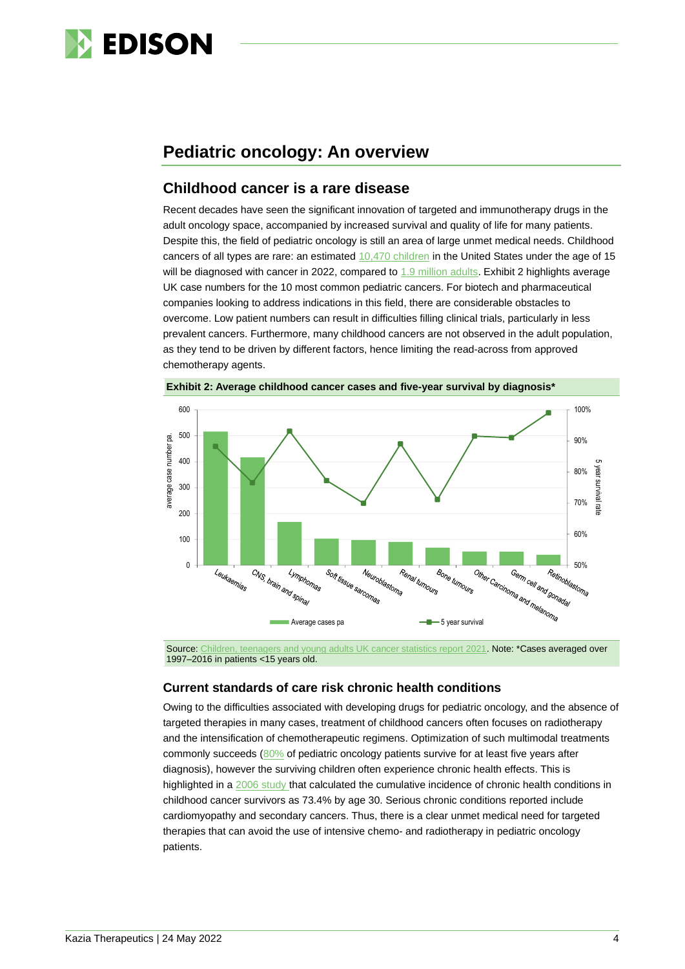

## **Pediatric oncology: An overview**

## **Childhood cancer is a rare disease**

Recent decades have seen the significant innovation of targeted and immunotherapy drugs in the adult oncology space, accompanied by increased survival and quality of life for many patients. Despite this, the field of pediatric oncology is still an area of large unmet medical needs. Childhood cancers of all types are rare: an estimated [10,470 children](https://www.cancer.net/cancer-types/childhood-cancer/statistics) in the United States under the age of 15 will be diagnosed with cancer in 2022, compared to 1.9 million [adults.](https://www.cancer.org/research/cancer-facts-statistics/all-cancer-facts-figures/cancer-facts-figures-2022.html#:~:text=The%20Facts%20%26%20Figures%20annual%20report,deaths%20in%20the%20United%20States.)) Exhibit 2 highlights average UK case numbers for the 10 most common pediatric cancers. For biotech and pharmaceutical companies looking to address indications in this field, there are considerable obstacles to overcome. Low patient numbers can result in difficulties filling clinical trials, particularly in less prevalent cancers. Furthermore, many childhood cancers are not observed in the adult population, as they tend to be driven by different factors, hence limiting the read-across from approved chemotherapy agents.





Source[: Children, teenagers and young adults UK cancer statistics report 2021.](http://www.ncin.org.uk/cancer_type_and_topic_specific_work/cancer_type_specific_work/cancer_in_children_teenagers_and_young_adults/) Note: \*Cases averaged over 1997–2016 in patients <15 years old.

#### **Current standards of care risk chronic health conditions**

Owing to the difficulties associated with developing drugs for pediatric oncology, and the absence of targeted therapies in many cases, treatment of childhood cancers often focuses on radiotherapy and the intensification of chemotherapeutic regimens. Optimization of such multimodal treatments commonly succeeds [\(80%](https://seer.cancer.gov/archive/csr/1975_2015/) of pediatric oncology patients survive for at least five years after diagnosis), however the surviving children often experience chronic health effects. This is highlighted in a [2006 study](https://pubmed.ncbi.nlm.nih.gov/17035650/) that calculated the cumulative incidence of chronic health conditions in childhood cancer survivors as 73.4% by age 30. Serious chronic conditions reported include cardiomyopathy and secondary cancers. Thus, there is a clear unmet medical need for targeted therapies that can avoid the use of intensive chemo- and radiotherapy in pediatric oncology patients.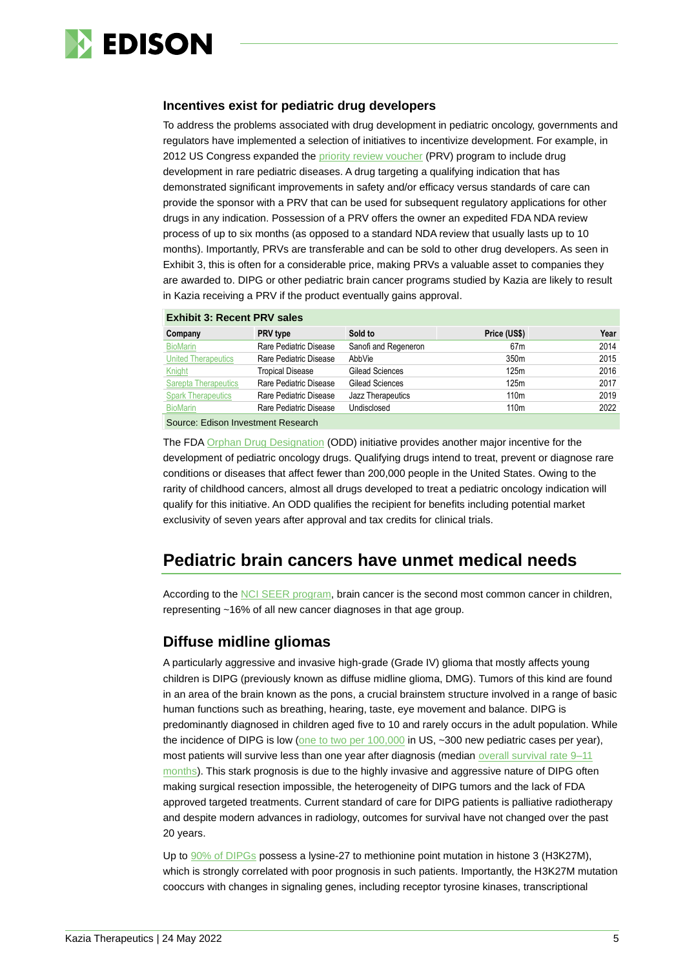

### **Incentives exist for pediatric drug developers**

To address the problems associated with drug development in pediatric oncology, governments and regulators have implemented a selection of initiatives to incentivize development. For example, in 2012 US Congress expanded the [priority review voucher](https://www.fda.gov/regulatory-information/search-fda-guidance-documents/rare-pediatric-disease-priority-review-vouchers) (PRV) program to include drug development in rare pediatric diseases. A drug targeting a qualifying indication that has demonstrated significant improvements in safety and/or efficacy versus standards of care can provide the sponsor with a PRV that can be used for subsequent regulatory applications for other drugs in any indication. Possession of a PRV offers the owner an expedited FDA NDA review process of up to six months (as opposed to a standard NDA review that usually lasts up to 10 months). Importantly, PRVs are transferable and can be sold to other drug developers. As seen in Exhibit 3, this is often for a considerable price, making PRVs a valuable asset to companies they are awarded to. DIPG or other pediatric brain cancer programs studied by Kazia are likely to result in Kazia receiving a PRV if the product eventually gains approval.

#### **Exhibit 3: Recent PRV sales**

| Company                            | <b>PRV</b> type         | Sold to              | Price (US\$)     | Year |  |  |
|------------------------------------|-------------------------|----------------------|------------------|------|--|--|
| <b>BioMarin</b>                    | Rare Pediatric Disease  | Sanofi and Regeneron | 67 <sub>m</sub>  | 2014 |  |  |
| <b>United Therapeutics</b>         | Rare Pediatric Disease  | AbbVie               | 350 <sub>m</sub> | 2015 |  |  |
| Knight                             | <b>Tropical Disease</b> | Gilead Sciences      | 125m             | 2016 |  |  |
| <b>Sarepta Therapeutics</b>        | Rare Pediatric Disease  | Gilead Sciences      | 125m             | 2017 |  |  |
| <b>Spark Therapeutics</b>          | Rare Pediatric Disease  | Jazz Therapeutics    | 110 <sub>m</sub> | 2019 |  |  |
| <b>BioMarin</b>                    | Rare Pediatric Disease  | Undisclosed          | 110 <sub>m</sub> | 2022 |  |  |
| Source: Edison Investment Research |                         |                      |                  |      |  |  |

The FDA [Orphan Drug Designation](https://www.fda.gov/industry/developing-products-rare-diseases-conditions#:~:text=The%20Orphan%20Drug%20Designation%20program%20provides%20orphan%20status%20to%20drugs,recovery%20provisions%20of%20the%20act.) (ODD) initiative provides another major incentive for the development of pediatric oncology drugs. Qualifying drugs intend to treat, prevent or diagnose rare conditions or diseases that affect fewer than 200,000 people in the United States. Owing to the rarity of childhood cancers, almost all drugs developed to treat a pediatric oncology indication will qualify for this initiative. An ODD qualifies the recipient for benefits including potential market exclusivity of seven years after approval and tax credits for clinical trials.

# **Pediatric brain cancers have unmet medical needs**

According to the [NCI SEER program,](https://seer.cancer.gov/statfacts/html/childbrain.html) brain cancer is the second most common cancer in children, representing ~16% of all new cancer diagnoses in that age group.

### **Diffuse midline gliomas**

A particularly aggressive and invasive high-grade (Grade IV) glioma that mostly affects young children is DIPG (previously known as diffuse midline glioma, DMG). Tumors of this kind are found in an area of the brain known as the pons, a crucial brainstem structure involved in a range of basic human functions such as breathing, hearing, taste, eye movement and balance. DIPG is predominantly diagnosed in children aged five to 10 and rarely occurs in the adult population. While the incidence of DIPG is low (one to two [per 100,000](https://www.ncbi.nlm.nih.gov/books/NBK560640/#:~:text=Brainstem%20gliomas%20affect%20approximately%20300,2%20cases%20per%20100%2C000%20population.) in US, ~300 new pediatric cases per year), most patients will survive less than one year after diagnosis (median overall survival rate 9–11 [months\)](https://www.nature.com/articles/s41388-021-02102-y). This stark prognosis is due to the highly invasive and aggressive nature of DIPG often making surgical resection impossible, the heterogeneity of DIPG tumors and the lack of FDA approved targeted treatments. Current standard of care for DIPG patients is palliative radiotherapy and despite modern advances in radiology, outcomes for survival have not changed over the past 20 years.

Up to [90% of DIPGs](https://pubmed.ncbi.nlm.nih.gov/31328874/) possess a lysine-27 to methionine point mutation in histone 3 (H3K27M), which is strongly correlated with poor prognosis in such patients. Importantly, the H3K27M mutation cooccurs with changes in signaling genes, including receptor tyrosine kinases, transcriptional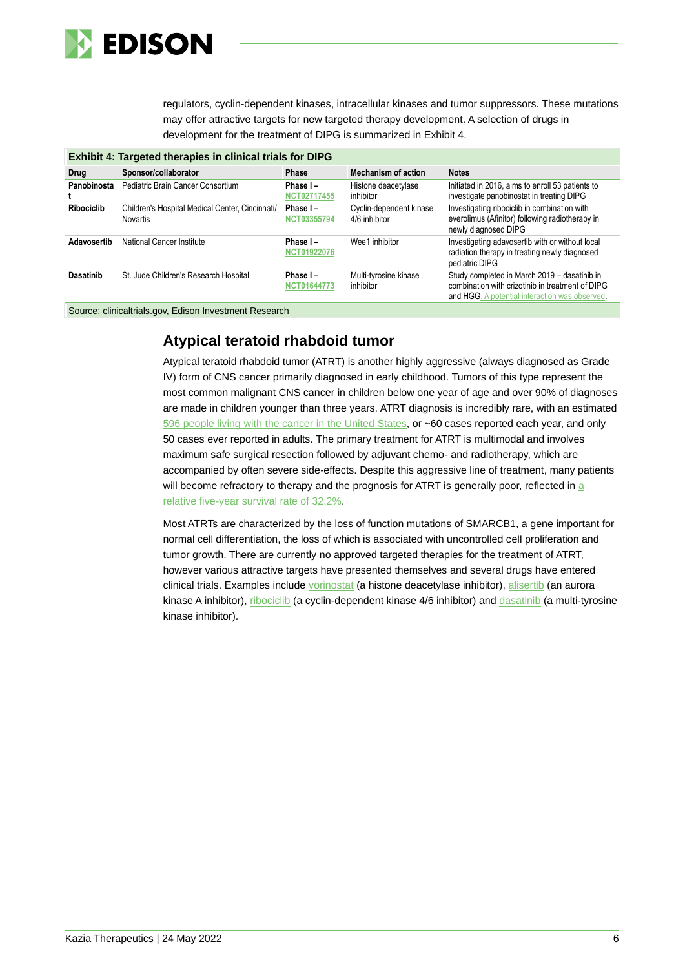

regulators, cyclin-dependent kinases, intracellular kinases and tumor suppressors. These mutations may offer attractive targets for new targeted therapy development. A selection of drugs in development for the treatment of DIPG is summarized in Exhibit 4.

| Exhibit 4: Targeted therapies in clinical trials for DIPG |                                                             |                                   |                                          |                                                                                                                                                    |  |  |
|-----------------------------------------------------------|-------------------------------------------------------------|-----------------------------------|------------------------------------------|----------------------------------------------------------------------------------------------------------------------------------------------------|--|--|
| Drug                                                      | Sponsor/collaborator                                        | Phase                             | <b>Mechanism of action</b>               | <b>Notes</b>                                                                                                                                       |  |  |
| Panobinosta                                               | Pediatric Brain Cancer Consortium                           | Phase I-<br><b>NCT02717455</b>    | Histone deacetylase<br>inhibitor         | Initiated in 2016, aims to enroll 53 patients to<br>investigate panobinostat in treating DIPG                                                      |  |  |
| <b>Ribociclib</b>                                         | Children's Hospital Medical Center, Cincinnati/<br>Novartis | Phase $I -$<br><b>NCT03355794</b> | Cyclin-dependent kinase<br>4/6 inhibitor | Investigating ribociclib in combination with<br>everolimus (Afinitor) following radiotherapy in<br>newly diagnosed DIPG                            |  |  |
| Adavosertib                                               | National Cancer Institute                                   | Phase I-<br><b>NCT01922076</b>    | Wee1 inhibitor                           | Investigating adavosertib with or without local<br>radiation therapy in treating newly diagnosed<br>pediatric DIPG                                 |  |  |
| <b>Dasatinib</b>                                          | St. Jude Children's Research Hospital                       | Phase I-<br><b>NCT01644773</b>    | Multi-tyrosine kinase<br>inhibitor       | Study completed in March 2019 - dasatinib in<br>combination with crizotinib in treatment of DIPG<br>and HGG. A potential interaction was observed. |  |  |

Source: clinicaltrials.gov, Edison Investment Research

### **Atypical teratoid rhabdoid tumor**

Atypical teratoid rhabdoid tumor (ATRT) is another highly aggressive (always diagnosed as Grade IV) form of CNS cancer primarily diagnosed in early childhood. Tumors of this type represent the most common malignant CNS cancer in children below one year of age and over 90% of diagnoses are made in children younger than three years. ATRT diagnosis is incredibly rare, with an estimated [596 people living with the cancer in the United St](https://www.cancer.gov/rare-brain-spine-tumor/tumors/atrt)ates, or ~60 cases reported each year, and only 50 cases ever reported in adults. The primary treatment for ATRT is multimodal and involves maximum safe surgical resection followed by adjuvant chemo- and radiotherapy, which are accompanied by often severe side-effects. Despite this aggressive line of treatment, many patients will become refractory to therapy and the prognosis for ATRT is generally poor, reflected in a [relative five-year survival rate of 32.2%.](https://www.cancer.gov/rare-brain-spine-tumor/tumors/atrt)

Most ATRTs are characterized by the loss of function mutations of SMARCB1, a gene important for normal cell differentiation, the loss of which is associated with uncontrolled cell proliferation and tumor growth. There are currently no approved targeted therapies for the treatment of ATRT, however various attractive targets have presented themselves and several drugs have entered clinical trials. Examples include [vorinostat](https://pubmed.ncbi.nlm.nih.gov/23554030/) (a histone deacetylase inhibitor), [alisertib](https://clinicaltrials.gov/ct2/show/NCT02114229) (an aurora kinase A inhibitor), [ribociclib](https://clinicaltrials.gov/ct2/show/NCT03387020) (a cyclin-dependent kinase 4/6 inhibitor) and [dasatinib](https://clinicaltrials.gov/ct2/show/NCT00788125) (a multi-tyrosine kinase inhibitor).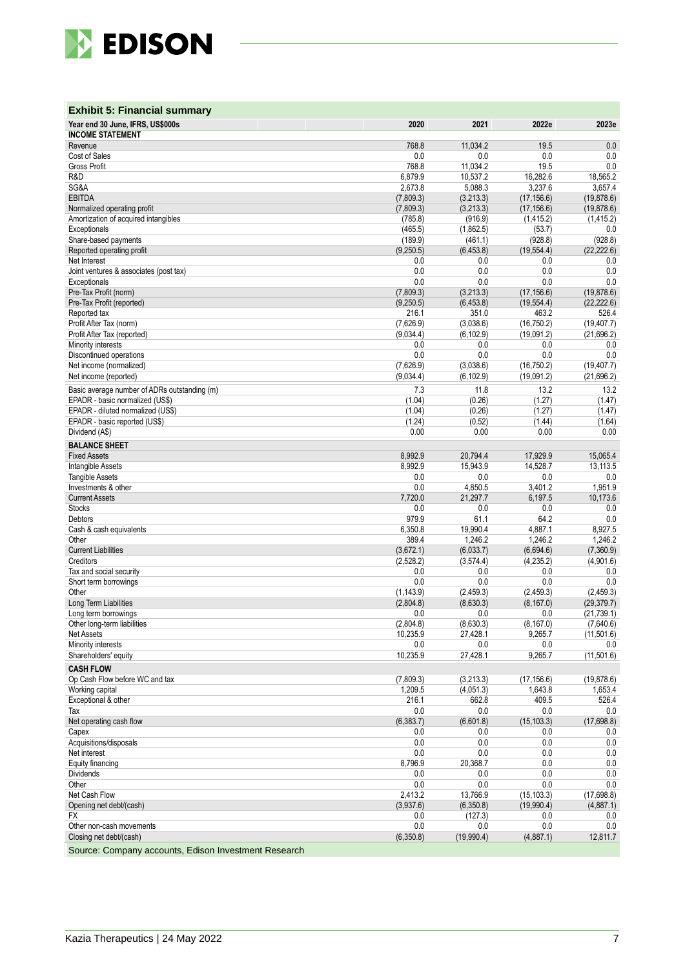

| <b>Exhibit 5: Financial summary</b>                    |                        |                        |                            |                            |
|--------------------------------------------------------|------------------------|------------------------|----------------------------|----------------------------|
| Year end 30 June, IFRS, US\$000s                       | 2020                   | 2021                   | 2022e                      | 2023e                      |
| <b>INCOME STATEMENT</b><br>Revenue                     | 768.8                  | 11,034.2               | 19.5                       | 0.0                        |
| Cost of Sales                                          | 0.0                    | 0.0                    | 0.0                        | 0.0                        |
| <b>Gross Profit</b>                                    | 768.8                  | 11,034.2               | 19.5                       | 0.0                        |
| R&D                                                    | 6,879.9                | 10,537.2               | 16,282.6                   | 18,565.2                   |
| SG&A                                                   | 2,673.8                | 5,088.3                | 3,237.6                    | 3,657.4                    |
| <b>EBITDA</b><br>Normalized operating profit           | (7,809.3)<br>(7,809.3) | (3,213.3)<br>(3,213.3) | (17, 156.6)<br>(17, 156.6) | (19, 878.6)<br>(19, 878.6) |
| Amortization of acquired intangibles                   | (785.8)                | (916.9)                | (1, 415.2)                 | (1, 415.2)                 |
| Exceptionals                                           | (465.5)                | (1,862.5)              | (53.7)                     | 0.0                        |
| Share-based payments                                   | (189.9)                | (461.1)                | (928.8)                    | (928.8)                    |
| Reported operating profit                              | (9,250.5)              | (6,453.8)              | (19, 554.4)                | (22, 222.6)                |
| Net Interest                                           | 0.0                    | 0.0                    | 0.0                        | 0.0                        |
| Joint ventures & associates (post tax)<br>Exceptionals | 0.0<br>0.0             | 0.0<br>0.0             | 0.0<br>0.0                 | 0.0<br>0.0                 |
| Pre-Tax Profit (norm)                                  | (7,809.3)              | (3,213.3)              | (17, 156.6)                | (19, 878.6)                |
| Pre-Tax Profit (reported)                              | (9,250.5)              | (6,453.8)              | (19, 554.4)                | (22, 222.6)                |
| Reported tax                                           | 216.1                  | 351.0                  | 463.2                      | 526.4                      |
| Profit After Tax (norm)                                | (7,626.9)              | (3,038.6)              | (16, 750.2)                | (19, 407.7)                |
| Profit After Tax (reported)                            | (9,034.4)              | (6, 102.9)             | (19,091.2)                 | (21,696.2)                 |
| Minority interests                                     | 0.0                    | 0.0                    | 0.0                        | 0.0                        |
| Discontinued operations<br>Net income (normalized)     | 0.0<br>(7,626.9)       | 0.0<br>(3,038.6)       | 0.0<br>(16, 750.2)         | 0.0<br>(19, 407.7)         |
| Net income (reported)                                  | (9,034.4)              | (6, 102.9)             | (19,091.2)                 | (21, 696.2)                |
| Basic average number of ADRs outstanding (m)           | 7.3                    | 11.8                   | 13.2                       | 13.2                       |
| EPADR - basic normalized (US\$)                        | (1.04)                 | (0.26)                 | (1.27)                     | (1.47)                     |
| EPADR - diluted normalized (US\$)                      | (1.04)                 | (0.26)                 | (1.27)                     | (1.47)                     |
| EPADR - basic reported (US\$)                          | (1.24)                 | (0.52)                 | (1.44)                     | (1.64)                     |
| Dividend (A\$)                                         | 0.00                   | 0.00                   | 0.00                       | 0.00                       |
| <b>BALANCE SHEET</b>                                   |                        |                        |                            |                            |
| <b>Fixed Assets</b>                                    | 8,992.9                | 20,794.4               | 17,929.9                   | 15,065.4                   |
| <b>Intangible Assets</b>                               | 8,992.9                | 15,943.9               | 14,528.7                   | 13,113.5                   |
| <b>Tangible Assets</b><br>Investments & other          | 0.0<br>0.0             | 0.0<br>4,850.5         | 0.0<br>3,401.2             | 0.0<br>1,951.9             |
| <b>Current Assets</b>                                  | 7,720.0                | 21,297.7               | 6,197.5                    | 10,173.6                   |
| <b>Stocks</b>                                          | 0.0                    | 0.0                    | 0.0                        | 0.0                        |
| Debtors                                                | 979.9                  | 61.1                   | 64.2                       | 0.0                        |
| Cash & cash equivalents                                | 6,350.8                | 19,990.4               | 4,887.1                    | 8,927.5                    |
| Other                                                  | 389.4                  | 1,246.2                | 1,246.2                    | 1,246.2                    |
| <b>Current Liabilities</b><br>Creditors                | (3,672.1)<br>(2,528.2) | (6,033.7)<br>(3,574.4) | (6,694.6)<br>(4,235.2)     | (7,360.9)<br>(4,901.6)     |
| Tax and social security                                | 0.0                    | 0.0                    | 0.0                        | 0.0                        |
| Short term borrowings                                  | 0.0                    | 0.0                    | 0.0                        | 0.0                        |
| Other                                                  | (1, 143.9)             | (2,459.3)              | (2,459.3)                  | (2,459.3)                  |
| Long Term Liabilities                                  | (2,804.8)              | (8,630.3)              | (8, 167.0)                 | (29, 379.7)                |
| Long term borrowings                                   | 0.0                    | 0.0                    | 0.0                        | (21, 739.1)                |
| Other long-term liabilities<br><b>Net Assets</b>       | (2,804.8)<br>10,235.9  | (8,630.3)<br>27,428.1  | (8, 167.0)<br>9,265.7      | (7,640.6)<br>(11,501.6)    |
| Minority interests                                     | 0.0                    | 0.0                    | 0.0                        | 0.0                        |
| Shareholders' equity                                   | 10,235.9               | 27,428.1               | 9,265.7                    | (11, 501.6)                |
| <b>CASH FLOW</b>                                       |                        |                        |                            |                            |
| Op Cash Flow before WC and tax                         | (7,809.3)              | (3,213.3)              | (17, 156.6)                | (19, 878.6)                |
| Working capital                                        | 1,209.5                | (4,051.3)              | 1,643.8                    | 1,653.4                    |
| Exceptional & other                                    | 216.1                  | 662.8                  | 409.5                      | 526.4                      |
| Tax<br>Net operating cash flow                         | 0.0<br>(6,383.7)       | 0.0<br>(6,601.8)       | 0.0                        | 0.0<br>(17,698.8)          |
| Capex                                                  | 0.0                    | 0.0                    | (15, 103.3)<br>0.0         | $0.0\,$                    |
| Acquisitions/disposals                                 | 0.0                    | 0.0                    | 0.0                        | 0.0                        |
| Net interest                                           | 0.0                    | 0.0                    | 0.0                        | 0.0                        |
| Equity financing                                       | 8,796.9                | 20,368.7               | 0.0                        | 0.0                        |
| <b>Dividends</b>                                       | 0.0                    | 0.0                    | 0.0                        | 0.0                        |
| Other<br>Net Cash Flow                                 | 0.0<br>2,413.2         | 0.0<br>13,766.9        | 0.0<br>(15, 103.3)         | 0.0<br>(17,698.8)          |
| Opening net debt/(cash)                                | (3,937.6)              | (6,350.8)              | (19,990.4)                 | (4,887.1)                  |
| FX                                                     | 0.0                    | (127.3)                | 0.0                        | 0.0                        |
| Other non-cash movements                               | 0.0                    | 0.0                    | 0.0                        | 0.0                        |
| Closing net debt/(cash)                                | (6,350.8)              | (19,990.4)             | (4,887.1)                  | 12,811.7                   |
|                                                        |                        |                        |                            |                            |

Source: Company accounts, Edison Investment Research